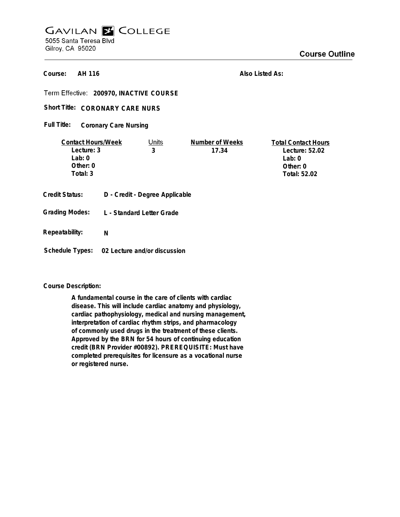# **GAVILAN E COLLEGE** 5055 Santa Teresa Blvd Gilroy, CA 95020

**AH 116 Course:**

**Also Listed As:**

**200970, INACTIVE COURSE**

Short Title: CORONARY CARE NURS

**Coronary Care Nursing Full Title:**

| <b>Contact Hours/Week</b>                      |   | Units                                                       | Number of Weeks | <b>Total Contact Hours</b> |
|------------------------------------------------|---|-------------------------------------------------------------|-----------------|----------------------------|
| Lecture: 3                                     |   | 3                                                           | 17.34           | Lecture: 52.02             |
| Lab: $0$                                       |   |                                                             |                 | Lab: $0$                   |
| Other: 0                                       |   |                                                             |                 | Other: 0                   |
| Total: 3                                       |   |                                                             |                 | Total: 52.02               |
| <b>Credit Status:</b><br><b>Grading Modes:</b> |   | D - Credit - Degree Applicable<br>L - Standard Letter Grade |                 |                            |
| Repeatability:                                 | N |                                                             |                 |                            |

**Schedule Types: 02 Lecture and/or discussion**

## **Course Description:**

**A fundamental course in the care of clients with cardiac disease. This will include cardiac anatomy and physiology, cardiac pathophysiology, medical and nursing management, interpretation of cardiac rhythm strips, and pharmacology of commonly used drugs in the treatment of these clients. Approved by the BRN for 54 hours of continuing education credit (BRN Provider #00892). PREREQUISITE: Must have completed prerequisites for licensure as a vocational nurse or registered nurse.**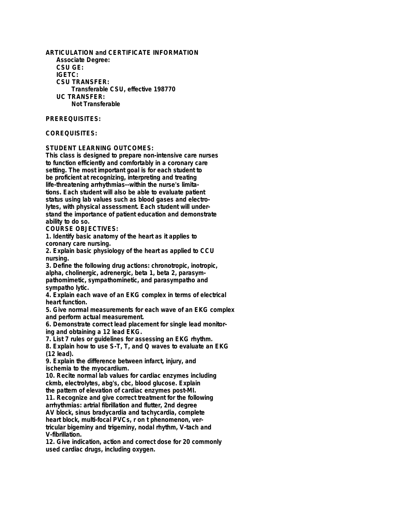**ARTICULATION and CERTIFICATE INFORMATION Associate Degree: CSU GE: IGETC: CSU TRANSFER: Transferable CSU, effective 198770 UC TRANSFER: Not Transferable**

#### **PREREQUISITES:**

# **COREQUISITES:**

## **STUDENT LEARNING OUTCOMES:**

**This class is designed to prepare non-intensive care nurses to function efficiently and comfortably in a coronary care setting. The most important goal is for each student to be proficient at recognizing, interpreting and treating life-threatening arrhythmias--within the nurse's limitations. Each student will also be able to evaluate patient status using lab values such as blood gases and electrolytes, with physical assessment. Each student will understand the importance of patient education and demonstrate ability to do so.**

**COURSE OBJECTIVES:**

**1. Identify basic anatomy of the heart as it applies to coronary care nursing.**

**2. Explain basic physiology of the heart as applied to CCU nursing.**

**3. Define the following drug actions: chronotropic, inotropic, alpha, cholinergic, adrenergic, beta 1, beta 2, parasympathomimetic, sympathominetic, and parasympatho and sympatho lytic.**

**4. Explain each wave of an EKG complex in terms of electrical heart function.**

**5. Give normal measurements for each wave of an EKG complex and perform actual measurement.**

**6. Demonstrate correct lead placement for single lead monitoring and obtaining a 12 lead EKG.**

**7. List 7 rules or guidelines for assessing an EKG rhythm.**

**8. Explain how to use S-T, T, and Q waves to evaluate an EKG (12 lead).**

**9. Explain the difference between infarct, injury, and ischemia to the myocardium.**

**10. Recite normal lab values for cardiac enzymes including ckmb, electrolytes, abg's, cbc, blood glucose. Explain**

**the pattern of elevation of cardiac enzymes post-MI. 11. Recognize and give correct treatment for the following arrhythmias: artrial fibrillation and flutter, 2nd degree AV block, sinus bradycardia and tachycardia, complete heart block, multi-focal PVCs, r on t phenomenon, vertricular bigeminy and trigeminy, nodal rhythm, V-tach and V-fibrillation.**

**12. Give indication, action and correct dose for 20 commonly used cardiac drugs, including oxygen.**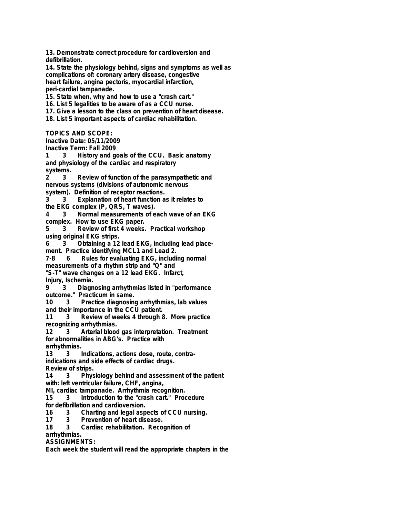**13. Demonstrate correct procedure for cardioversion and defibrillation.**

**14. State the physiology behind, signs and symptoms as well as complications of: coronary artery disease, congestive heart failure, angina pectoris, myocardial infarction, peri-cardial tampanade.**

**15. State when, why and how to use a "crash cart."**

**16. List 5 legalities to be aware of as a CCU nurse.**

**17. Give a lesson to the class on prevention of heart disease.**

**18. List 5 important aspects of cardiac rehabilitation.**

**TOPICS AND SCOPE:**

**Inactive Date: 05/11/2009**

**Inactive Term: Fall 2009**

**1 3 History and goals of the CCU. Basic anatomy and physiology of the cardiac and respiratory systems.**

**2 3 Review of function of the parasympathetic and nervous systems (divisions of autonomic nervous system). Definition of receptor reactions.**

**3 3 Explanation of heart function as it relates to**

**the EKG complex (P, QRS, T waves).**

**4 3 Normal measurements of each wave of an EKG**

**complex. How to use EKG paper.**

**5 3 Review of first 4 weeks. Practical workshop using original EKG strips.**

**6 3 Obtaining a 12 lead EKG, including lead placement. Practice identifying MCL1 and Lead 2.**

**7-8 6 Rules for evaluating EKG, including normal measurements of a rhythm strip and "Q" and**

**"S-T" wave changes on a 12 lead EKG. Infarct,**

**Injury, Ischemia.**

**9 3 Diagnosing arrhythmias listed in "performance**

**outcome." Practicum in same.**

**10 3 Practice diagnosing arrhythmias, lab values and their importance in the CCU patient.**

**11 3 Review of weeks 4 through 8. More practice recognizing arrhythmias.**

**12 3 Arterial blood gas interpretation. Treatment for abnormalities in ABG's. Practice with arrhythmias.**

**13 3 Indications, actions dose, route, contra-**

**indications and side effects of cardiac drugs.**

**Review of strips.**

**14 3 Physiology behind and assessment of the patient with: left ventricular failure, CHF, angina,**

**MI, cardiac tampanade. Arrhythmia recognition.**

**15 3 Introduction to the "crash cart." Procedure**

**for defibrillation and cardioversion.**

**16 3 Charting and legal aspects of CCU nursing.**

**17 3 Prevention of heart disease.**

**18 3 Cardiac rehabilitation. Recognition of**

**arrhythmias.**

**ASSIGNMENTS:**

**Each week the student will read the appropriate chapters in the**